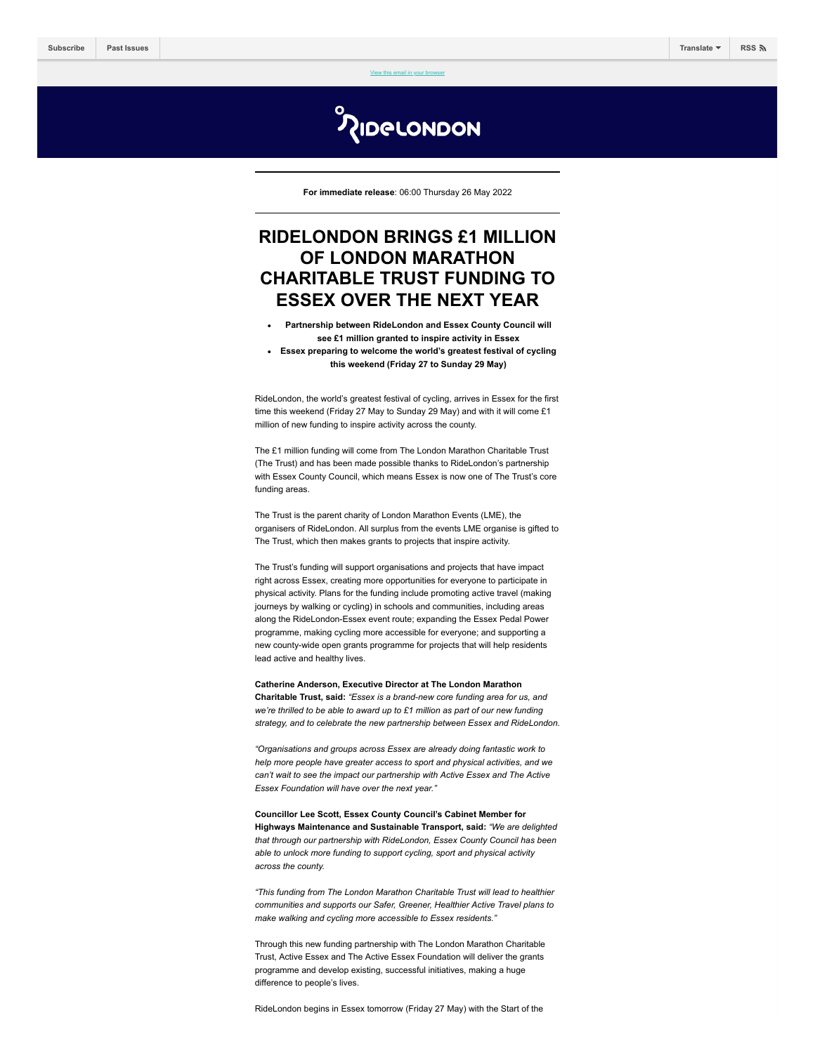[View this email in your browser](https://mailchi.mp/londonmarathonevents/full-routes-revealed-for-inaugural-three-day-ridelondon-classique-5850001?e=[UNIQID])

**MOGROUDON** 

**For immediate release**: 06:00 Thursday 26 May 2022

# **RIDELONDON BRINGS £1 MILLION OF LONDON MARATHON CHARITABLE TRUST FUNDING TO ESSEX OVER THE NEXT YEAR**

- **Partnership between RideLondon and Essex County Council will see £1 million granted to inspire activity in Essex**
- **Essex preparing to welcome the world's greatest festival of cycling this weekend (Friday 27 to Sunday 29 May)**

RideLondon, the world's greatest festival of cycling, arrives in Essex for the first time this weekend (Friday 27 May to Sunday 29 May) and with it will come £1 million of new funding to inspire activity across the county.

The £1 million funding will come from The London Marathon Charitable Trust (The Trust) and has been made possible thanks to RideLondon's partnership with Essex County Council, which means Essex is now one of The Trust's core funding areas.

The Trust is the parent charity of London Marathon Events (LME), the organisers of RideLondon. All surplus from the events LME organise is gifted to The Trust, which then makes grants to projects that inspire activity.

The Trust's funding will support organisations and projects that have impact right across Essex, creating more opportunities for everyone to participate in physical activity. Plans for the funding include promoting active travel (making journeys by walking or cycling) in schools and communities, including areas along the RideLondon-Essex event route; expanding the Essex Pedal Power programme, making cycling more accessible for everyone; and supporting a new county-wide open grants programme for projects that will help residents lead active and healthy lives.

**Catherine Anderson, Executive Director at The London Marathon Charitable Trust, said:** *"Essex is a brand-new core funding area for us, and we're thrilled to be able to award up to £1 million as part of our new funding strategy, and to celebrate the new partnership between Essex and RideLondon.*

*"Organisations and groups across Essex are already doing fantastic work to help more people have greater access to sport and physical activities, and we can't wait to see the impact our partnership with Active Essex and The Active Essex Foundation will have over the next year."* 

**Councillor Lee Scott, Essex County Council's Cabinet Member for Highways Maintenance and Sustainable Transport, said:** *"We are delighted that through our partnership with RideLondon, Essex County Council has been able to unlock more funding to support cycling, sport and physical activity across the county.* 

*"This funding from The London Marathon Charitable Trust will lead to healthier communities and supports our Safer, Greener, Healthier Active Travel plans to make walking and cycling more accessible to Essex residents."*

Through this new funding partnership with The London Marathon Charitable Trust, Active Essex and The Active Essex Foundation will deliver the grants programme and develop existing, successful initiatives, making a huge difference to people's lives.

RideLondon begins in Essex tomorrow (Friday 27 May) with the Start of the